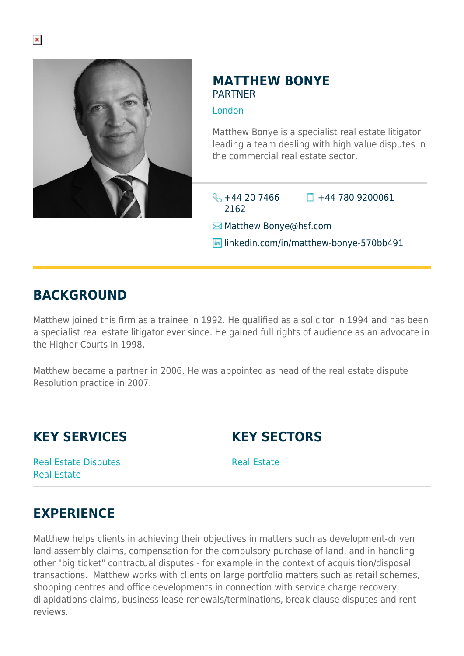

### **MATTHEW BONYE PARTNER**

#### [London](https://www.herbertsmithfreehills.com/lang-zh-hans/where-we-work/london)

Matthew Bonye is a specialist real estate litigator leading a team dealing with high value disputes in the commercial real estate sector.

 $\leftarrow$  +44 20 7466 2162

 $\Box$  +44 780 9200061

**E**Matthew.Bonye@hsf.com

**in** linkedin.com/in/matthew-bonye-570bb491

## **BACKGROUND**

Matthew joined this firm as a trainee in 1992. He qualified as a solicitor in 1994 and has been a specialist real estate litigator ever since. He gained full rights of audience as an advocate in the Higher Courts in 1998.

Matthew became a partner in 2006. He was appointed as head of the real estate dispute Resolution practice in 2007.

**KEY SERVICES**

**KEY SECTORS**

Real Estate Disputes Real Estate

Real Estate

## **EXPERIENCE**

Matthew helps clients in achieving their objectives in matters such as development-driven land assembly claims, compensation for the compulsory purchase of land, and in handling other "big ticket" contractual disputes - for example in the context of acquisition/disposal transactions. Matthew works with clients on large portfolio matters such as retail schemes, shopping centres and office developments in connection with service charge recovery, dilapidations claims, business lease renewals/terminations, break clause disputes and rent reviews.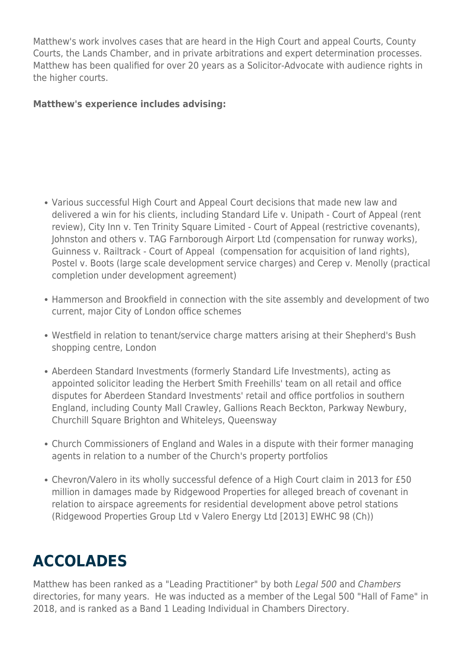Matthew's work involves cases that are heard in the High Court and appeal Courts, County Courts, the Lands Chamber, and in private arbitrations and expert determination processes. Matthew has been qualified for over 20 years as a Solicitor-Advocate with audience rights in the higher courts.

#### **Matthew's experience includes advising:**

- Various successful High Court and Appeal Court decisions that made new law and delivered a win for his clients, including Standard Life v. Unipath - Court of Appeal (rent review), City Inn v. Ten Trinity Square Limited - Court of Appeal (restrictive covenants), Johnston and others v. TAG Farnborough Airport Ltd (compensation for runway works), Guinness v. Railtrack - Court of Appeal (compensation for acquisition of land rights), Postel v. Boots (large scale development service charges) and Cerep v. Menolly (practical completion under development agreement)
- Hammerson and Brookfield in connection with the site assembly and development of two current, major City of London office schemes
- Westfield in relation to tenant/service charge matters arising at their Shepherd's Bush shopping centre, London
- Aberdeen Standard Investments (formerly Standard Life Investments), acting as appointed solicitor leading the Herbert Smith Freehills' team on all retail and office disputes for Aberdeen Standard Investments' retail and office portfolios in southern England, including County Mall Crawley, Gallions Reach Beckton, Parkway Newbury, Churchill Square Brighton and Whiteleys, Queensway
- Church Commissioners of England and Wales in a dispute with their former managing agents in relation to a number of the Church's property portfolios
- Chevron/Valero in its wholly successful defence of a High Court claim in 2013 for £50 million in damages made by Ridgewood Properties for alleged breach of covenant in relation to airspace agreements for residential development above petrol stations (Ridgewood Properties Group Ltd v Valero Energy Ltd [2013] EWHC 98 (Ch))

# **ACCOLADES**

Matthew has been ranked as a "Leading Practitioner" by both Legal 500 and Chambers directories, for many years. He was inducted as a member of the Legal 500 "Hall of Fame" in 2018, and is ranked as a Band 1 Leading Individual in Chambers Directory.